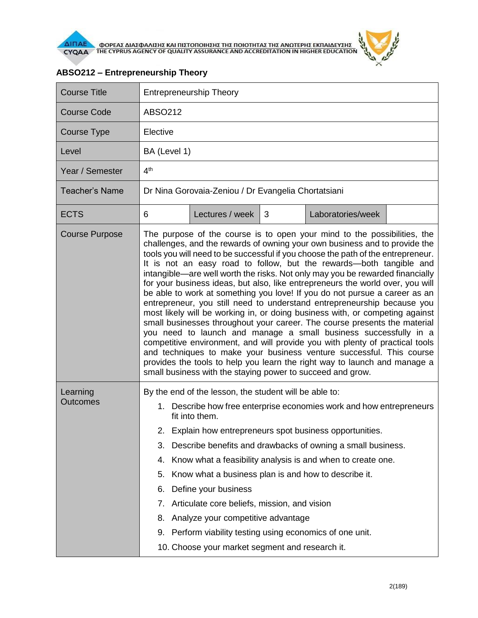

| <b>Course Title</b>         | <b>Entrepreneurship Theory</b>                                                                                                                                                                                                                                                                                                                                                                                                                                                                                                                                                                                                                                                                                                                                                                                                                                                                                                                                                                                                                                                                                                                                                    |                                                                                                                                                                                                                                                                                                                                                             |   |                                                                                                                                                                                                                                                                 |  |  |  |
|-----------------------------|-----------------------------------------------------------------------------------------------------------------------------------------------------------------------------------------------------------------------------------------------------------------------------------------------------------------------------------------------------------------------------------------------------------------------------------------------------------------------------------------------------------------------------------------------------------------------------------------------------------------------------------------------------------------------------------------------------------------------------------------------------------------------------------------------------------------------------------------------------------------------------------------------------------------------------------------------------------------------------------------------------------------------------------------------------------------------------------------------------------------------------------------------------------------------------------|-------------------------------------------------------------------------------------------------------------------------------------------------------------------------------------------------------------------------------------------------------------------------------------------------------------------------------------------------------------|---|-----------------------------------------------------------------------------------------------------------------------------------------------------------------------------------------------------------------------------------------------------------------|--|--|--|
| <b>Course Code</b>          | ABSO212                                                                                                                                                                                                                                                                                                                                                                                                                                                                                                                                                                                                                                                                                                                                                                                                                                                                                                                                                                                                                                                                                                                                                                           |                                                                                                                                                                                                                                                                                                                                                             |   |                                                                                                                                                                                                                                                                 |  |  |  |
| Course Type                 | Elective                                                                                                                                                                                                                                                                                                                                                                                                                                                                                                                                                                                                                                                                                                                                                                                                                                                                                                                                                                                                                                                                                                                                                                          |                                                                                                                                                                                                                                                                                                                                                             |   |                                                                                                                                                                                                                                                                 |  |  |  |
| Level                       | BA (Level 1)                                                                                                                                                                                                                                                                                                                                                                                                                                                                                                                                                                                                                                                                                                                                                                                                                                                                                                                                                                                                                                                                                                                                                                      |                                                                                                                                                                                                                                                                                                                                                             |   |                                                                                                                                                                                                                                                                 |  |  |  |
| Year / Semester             | 4 <sup>th</sup>                                                                                                                                                                                                                                                                                                                                                                                                                                                                                                                                                                                                                                                                                                                                                                                                                                                                                                                                                                                                                                                                                                                                                                   |                                                                                                                                                                                                                                                                                                                                                             |   |                                                                                                                                                                                                                                                                 |  |  |  |
| <b>Teacher's Name</b>       | Dr Nina Gorovaia-Zeniou / Dr Evangelia Chortatsiani                                                                                                                                                                                                                                                                                                                                                                                                                                                                                                                                                                                                                                                                                                                                                                                                                                                                                                                                                                                                                                                                                                                               |                                                                                                                                                                                                                                                                                                                                                             |   |                                                                                                                                                                                                                                                                 |  |  |  |
| <b>ECTS</b>                 | 6                                                                                                                                                                                                                                                                                                                                                                                                                                                                                                                                                                                                                                                                                                                                                                                                                                                                                                                                                                                                                                                                                                                                                                                 | Lectures / week                                                                                                                                                                                                                                                                                                                                             | 3 | Laboratories/week                                                                                                                                                                                                                                               |  |  |  |
| <b>Course Purpose</b>       | The purpose of the course is to open your mind to the possibilities, the<br>challenges, and the rewards of owning your own business and to provide the<br>tools you will need to be successful if you choose the path of the entrepreneur.<br>It is not an easy road to follow, but the rewards-both tangible and<br>intangible—are well worth the risks. Not only may you be rewarded financially<br>for your business ideas, but also, like entrepreneurs the world over, you will<br>be able to work at something you love! If you do not pursue a career as an<br>entrepreneur, you still need to understand entrepreneurship because you<br>most likely will be working in, or doing business with, or competing against<br>small businesses throughout your career. The course presents the material<br>you need to launch and manage a small business successfully in a<br>competitive environment, and will provide you with plenty of practical tools<br>and techniques to make your business venture successful. This course<br>provides the tools to help you learn the right way to launch and manage a<br>small business with the staying power to succeed and grow. |                                                                                                                                                                                                                                                                                                                                                             |   |                                                                                                                                                                                                                                                                 |  |  |  |
| Learning<br><b>Outcomes</b> | 3.<br>4.<br>5.<br>6.<br>7.<br>8.<br>9.                                                                                                                                                                                                                                                                                                                                                                                                                                                                                                                                                                                                                                                                                                                                                                                                                                                                                                                                                                                                                                                                                                                                            | By the end of the lesson, the student will be able to:<br>fit into them.<br>Know what a business plan is and how to describe it.<br>Define your business<br>Articulate core beliefs, mission, and vision<br>Analyze your competitive advantage<br>Perform viability testing using economics of one unit.<br>10. Choose your market segment and research it. |   | 1. Describe how free enterprise economies work and how entrepreneurs<br>2. Explain how entrepreneurs spot business opportunities.<br>Describe benefits and drawbacks of owning a small business.<br>Know what a feasibility analysis is and when to create one. |  |  |  |

## **ABSO212 – Entrepreneurship Theory**

 $\theta$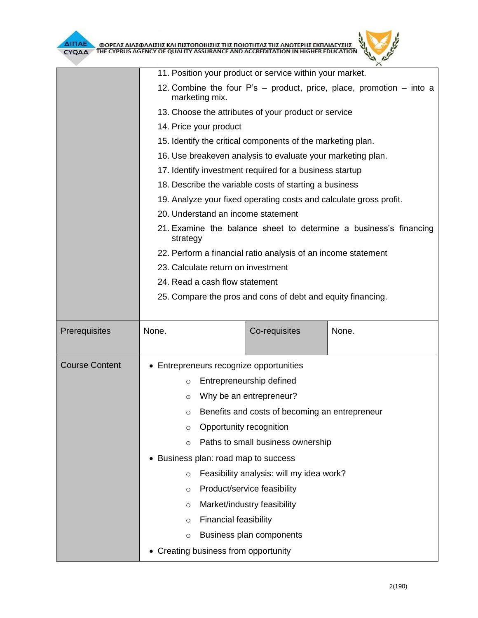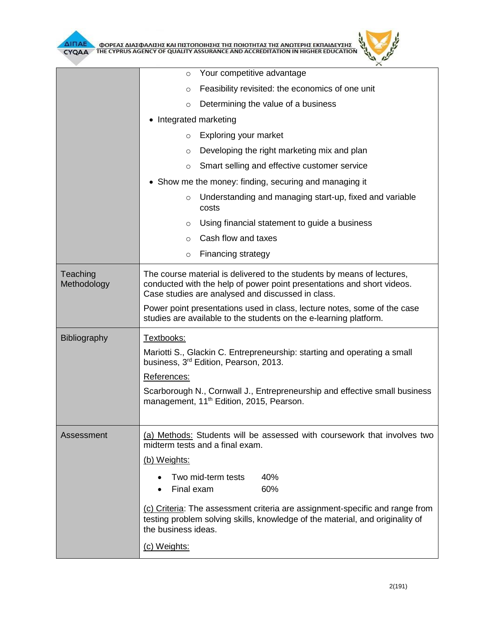|                         | $\circ$                                                                                                                                                                                                                                                                                                                                                | Your competitive advantage                       |                                                                                        |  |  |  |
|-------------------------|--------------------------------------------------------------------------------------------------------------------------------------------------------------------------------------------------------------------------------------------------------------------------------------------------------------------------------------------------------|--------------------------------------------------|----------------------------------------------------------------------------------------|--|--|--|
|                         | $\circ$                                                                                                                                                                                                                                                                                                                                                | Feasibility revisited: the economics of one unit |                                                                                        |  |  |  |
|                         | Determining the value of a business<br>$\circ$                                                                                                                                                                                                                                                                                                         |                                                  |                                                                                        |  |  |  |
|                         | Integrated marketing<br>٠                                                                                                                                                                                                                                                                                                                              |                                                  |                                                                                        |  |  |  |
|                         | Exploring your market<br>$\circ$                                                                                                                                                                                                                                                                                                                       |                                                  |                                                                                        |  |  |  |
|                         | $\circ$                                                                                                                                                                                                                                                                                                                                                | Developing the right marketing mix and plan      |                                                                                        |  |  |  |
|                         | Smart selling and effective customer service<br>$\circ$                                                                                                                                                                                                                                                                                                |                                                  |                                                                                        |  |  |  |
|                         | • Show me the money: finding, securing and managing it                                                                                                                                                                                                                                                                                                 |                                                  |                                                                                        |  |  |  |
|                         | $\circ$                                                                                                                                                                                                                                                                                                                                                | costs                                            | Understanding and managing start-up, fixed and variable                                |  |  |  |
|                         | $\circ$                                                                                                                                                                                                                                                                                                                                                |                                                  | Using financial statement to guide a business                                          |  |  |  |
|                         | $\circ$                                                                                                                                                                                                                                                                                                                                                | Cash flow and taxes                              |                                                                                        |  |  |  |
|                         | $\circ$                                                                                                                                                                                                                                                                                                                                                | <b>Financing strategy</b>                        |                                                                                        |  |  |  |
| Teaching<br>Methodology | The course material is delivered to the students by means of lectures,<br>conducted with the help of power point presentations and short videos.<br>Case studies are analysed and discussed in class.<br>Power point presentations used in class, lecture notes, some of the case<br>studies are available to the students on the e-learning platform. |                                                  |                                                                                        |  |  |  |
| Bibliography            | Textbooks:<br>Mariotti S., Glackin C. Entrepreneurship: starting and operating a small<br>business, 3rd Edition, Pearson, 2013.<br>References:<br>Scarborough N., Cornwall J., Entrepreneurship and effective small business<br>management, 11 <sup>th</sup> Edition, 2015, Pearson.                                                                   |                                                  |                                                                                        |  |  |  |
| Assessment              | midterm tests and a final exam.<br>(b) Weights:<br>Final exam                                                                                                                                                                                                                                                                                          | Two mid-term tests                               | (a) Methods: Students will be assessed with coursework that involves two<br>40%<br>60% |  |  |  |
|                         | (c) Criteria: The assessment criteria are assignment-specific and range from<br>testing problem solving skills, knowledge of the material, and originality of<br>the business ideas.                                                                                                                                                                   |                                                  |                                                                                        |  |  |  |
|                         | (c) Weights:                                                                                                                                                                                                                                                                                                                                           |                                                  |                                                                                        |  |  |  |

 $\theta$